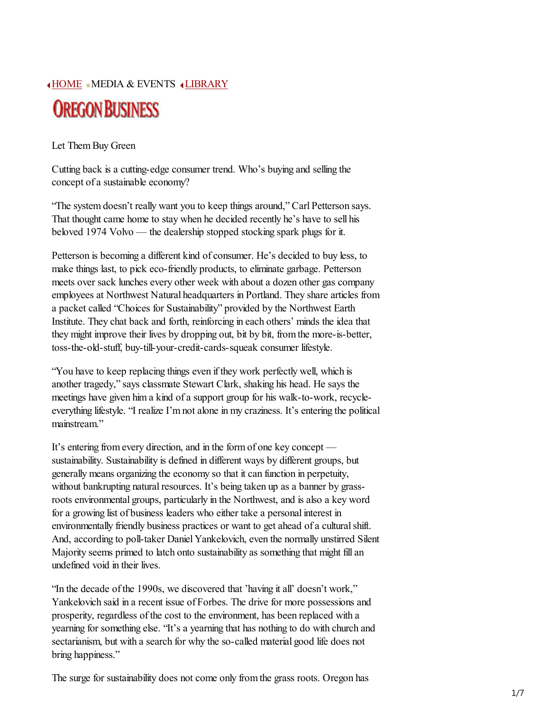HOME MEDIA & EVENTS ILIBRARY



Let Them Buy Green

Cutting back is a cutting-edge consumer trend. Who's buying and selling the concept of a sustainable economy?

"The system doesn't really want you to keep things around," Carl Petterson says. That thought came home to stay when he decided recently he's have to sell his beloved 1974 Volvo — the dealership stopped stocking spark plugs for it.

Petterson is becoming a different kind of consumer. He's decided to buy less, to make things last, to pick eco-friendly products, to eliminate garbage. Petterson meets over sack lunches every other week with about a dozen other gas company employees at Northwest Natural headquarters in Portland. They share articles from a packet called "Choices for Sustainability" provided by the Northwest Earth Institute. They chat back and forth, reinforcing in each others' minds the idea that they might improve their lives by dropping out, bit by bit, from the more-is-better, toss-the-old-stuff, buy-till-your-credit-cards-squeak consumer lifestyle.

"You have to keep replacing things even if they work perfectly well, which is another tragedy," says classmate Stewart Clark, shaking his head. He says the meetings have given him a kind of a support group for his walk-to-work, recycleeverything lifestyle. "I realize I'm not alone in my craziness. It's entering the political mainstream"

It's entering from every direction, and in the form of one key concept sustainability. Sustainability is defined in different ways by different groups, but generally means organizing the economy so that it can function in perpetuity, without bankrupting natural resources. It's being taken up as a banner by grassroots environmental groups, particularly in the Northwest, and is also a key word for a growing list of business leaders who either take a personal interest in environmentally friendly business practices or want to get ahead of a cultural shift. And, according to poll-taker Daniel Yankelovich, even the normally unstirred Silent Majority seems primed to latch onto sustainability as something that might fill an undefined void in their lives.

"In the decade of the 1990s, we discovered that 'having it all' doesn't work," Yankelovich said in a recent issue of Forbes. The drive for more possessions and prosperity, regardless of the cost to the environment, has been replaced with a yearning for something else. "It's a yearning that has nothing to do with church and sectarianism, but with a search for why the so-called material good life does not bring happiness."

The surge for sustainability does not come only from the grass roots. Oregon has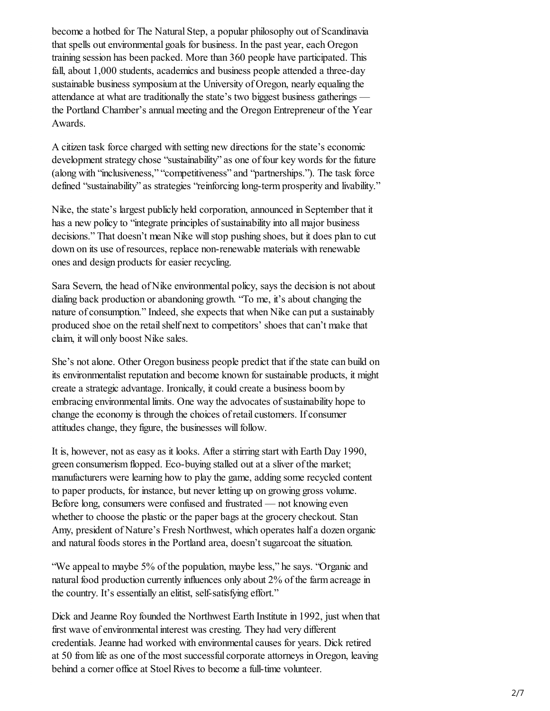become a hotbed for The Natural Step, a popular philosophy out of Scandinavia that spells out environmental goals for business. In the past year, each Oregon training session has been packed. More than 360 people have participated. This fall, about 1,000 students, academics and business people attended a three-day sustainable business symposium at the University of Oregon, nearly equaling the attendance at what are traditionally the state's two biggest business gatherings the Portland Chamber's annual meeting and the Oregon Entrepreneur of the Year Awards.

A citizen task force charged with setting new directions for the state's economic development strategy chose "sustainability" as one of four key words for the future (along with "inclusiveness," "competitiveness" and "partnerships."). The task force defined "sustainability" as strategies "reinforcing long-term prosperity and livability."

Nike, the state's largest publicly held corporation, announced in September that it has a new policy to "integrate principles of sustainability into all major business decisions." That doesn't mean Nike will stop pushing shoes, but it does plan to cut down on its use of resources, replace non-renewable materials with renewable ones and design products for easier recycling.

Sara Severn, the head of Nike environmental policy, says the decision is not about dialing back production or abandoning growth. "To me, it's about changing the nature of consumption." Indeed, she expects that when Nike can put a sustainably produced shoe on the retail shelf next to competitors' shoes that can't make that claim, it will only boost Nike sales.

She's not alone. Other Oregon business people predict that if the state can build on its environmentalist reputation and become known for sustainable products, it might create a strategic advantage. Ironically, it could create a business boom by embracing environmental limits. One way the advocates of sustainability hope to change the economy is through the choices of retail customers. If consumer attitudes change, they figure, the businesses will follow.

It is, however, not as easy as it looks. After a stirring start with Earth Day 1990, green consumerism flopped. Eco-buying stalled out at a sliver of the market; manufacturers were learning how to play the game, adding some recycled content to paper products, for instance, but never letting up on growing gross volume. Before long, consumers were confused and frustrated — not knowing even whether to choose the plastic or the paper bags at the grocery checkout. Stan Amy, president of Nature's Fresh Northwest, which operates half a dozen organic and natural foods stores in the Portland area, doesn't sugarcoat the situation.

"We appeal to maybe 5% of the population, maybe less," he says. "Organic and natural food production currently influences only about 2% of the farm acreage in the country. It's essentially an elitist, self-satisfying effort."

Dick and Jeanne Roy founded the Northwest Earth Institute in 1992, just when that first wave of environmental interest was cresting. They had very different credentials. Jeanne had worked with environmental causes for years. Dick retired at 50 from life as one of the most successful corporate attorneys in Oregon, leaving behind a corner office at Stoel Rives to become a full-time volunteer.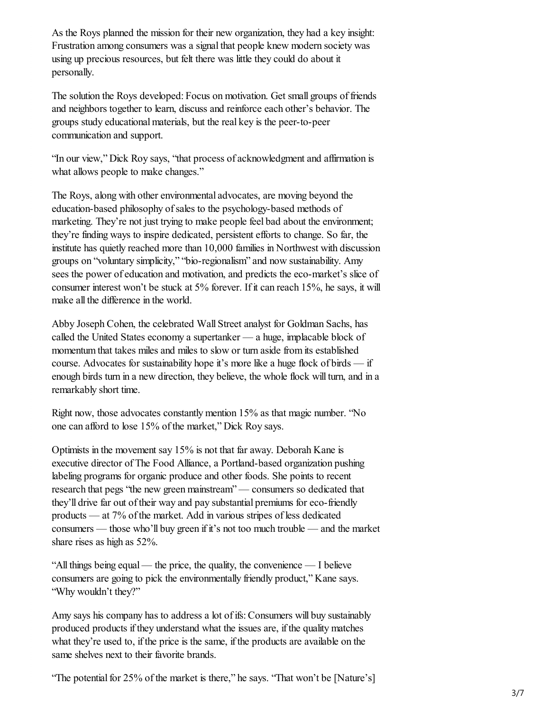As the Roys planned the mission for their new organization, they had a key insight: Frustration among consumers was a signal that people knew modern society was using up precious resources, but felt there was little they could do about it personally.

The solution the Roys developed: Focus on motivation. Get small groups of friends and neighbors together to learn, discuss and reinforce each other's behavior. The groups study educational materials, but the real key is the peer-to-peer communication and support.

"In our view," Dick Roy says, "that process of acknowledgment and affirmation is what allows people to make changes."

The Roys, along with other environmental advocates, are moving beyond the education-based philosophy of sales to the psychology-based methods of marketing. They're not just trying to make people feel bad about the environment; they're finding ways to inspire dedicated, persistent efforts to change. So far, the institute has quietly reached more than 10,000 families in Northwest with discussion groups on "voluntary simplicity," "bio-regionalism" and now sustainability. Amy sees the power of education and motivation, and predicts the eco-market's slice of consumer interest won't be stuck at 5% forever. If it can reach 15%, he says, it will make all the difference in the world.

Abby Joseph Cohen, the celebrated Wall Street analyst for Goldman Sachs, has called the United States economy a supertanker — a huge, implacable block of momentum that takes miles and miles to slow or turn aside from its established course. Advocates for sustainability hope it's more like a huge flock of birds — if enough birds turn in a new direction, they believe, the whole flock will turn, and in a remarkably short time.

Right now, those advocates constantly mention 15% as that magic number. "No one can afford to lose 15% of the market," Dick Roy says.

Optimists in the movement say 15% is not that far away. Deborah Kane is executive director of The Food Alliance, a Portland-based organization pushing labeling programs for organic produce and other foods. She points to recent research that pegs "the new green mainstream" — consumers so dedicated that they'll drive far out of their way and pay substantial premiums for eco-friendly products — at 7% of the market. Add in various stripes of less dedicated consumers — those who'll buy green if it's not too much trouble — and the market share rises as high as 52%.

"All things being equal — the price, the quality, the convenience — I believe consumers are going to pick the environmentally friendly product," Kane says. "Why wouldn't they?"

Amy says his company has to address a lot of ifs: Consumers will buy sustainably produced products if they understand what the issues are, if the quality matches what they're used to, if the price is the same, if the products are available on the same shelves next to their favorite brands.

"The potential for 25% of the market is there," he says. "That won't be [Nature's]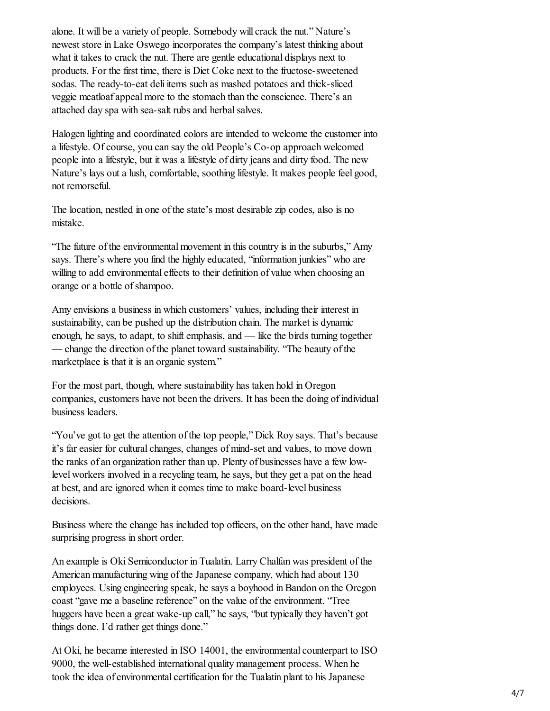alone. It will be a variety of people. Somebody will crack the nut." Nature's newest store in Lake Oswego incorporates the company's latest thinking about what it takes to crack the nut. There are gentle educational displays next to products. For the first time, there is Diet Coke next to the fructose-sweetened sodas. The ready-to-eat deli items such as mashed potatoes and thick-sliced veggie meatloaf appeal more to the stomach than the conscience. There's an attached day spa with sea-salt rubs and herbal salves.

Halogen lighting and coordinated colors are intended to welcome the customer into a lifestyle. Of course, you can say the old People's Co-op approach welcomed people into a lifestyle, but it was a lifestyle of dirty jeans and dirty food. The new Nature's lays out a lush, comfortable, soothing lifestyle. It makes people feel good, not remorseful.

The location, nestled in one of the state's most desirable zip codes, also is no mistake.

"The future of the environmental movement in this country is in the suburbs," Amy says. There's where you find the highly educated, "information junkies" who are willing to add environmental effects to their definition of value when choosing an orange or a bottle of shampoo.

Amy envisions a business in which customers' values, including their interest in sustainability, can be pushed up the distribution chain. The market is dynamic enough, he says, to adapt, to shift emphasis, and — like the birds turning together — change the direction of the planet toward sustainability. "The beauty of the marketplace is that it is an organic system."

For the most part, though, where sustainability has taken hold in Oregon companies, customers have not been the drivers. It has been the doing of individual business leaders.

"You've got to get the attention of the top people," Dick Roy says. That's because it's far easier for cultural changes, changes of mind-set and values, to move down the ranks of an organization rather than up. Plenty of businesses have a few lowlevel workers involved in a recycling team, he says, but they get a pat on the head at best, and are ignored when it comes time to make board-level business decisions.

Business where the change has included top officers, on the other hand, have made surprising progress in short order.

An example is Oki Semiconductor in Tualatin. Larry Chalfan was president of the American manufacturing wing of the Japanese company, which had about 130 employees. Using engineering speak, he says a boyhood in Bandon on the Oregon coast "gave me a baseline reference" on the value of the environment. "Tree huggers have been a great wake-up call," he says, "but typically they haven't got things done. I'd rather get things done."

At Oki, he became interested in ISO 14001, the environmental counterpart to ISO 9000, the well-established international quality management process. When he took the idea of environmental certification for the Tualatin plant to his Japanese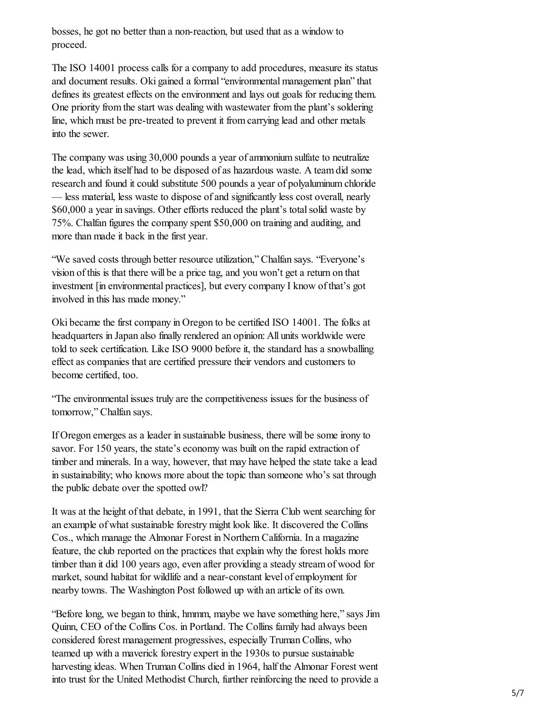bosses, he got no better than a non-reaction, but used that as a window to proceed.

The ISO 14001 process calls for a company to add procedures, measure its status and document results. Oki gained a formal "environmental management plan" that defines its greatest effects on the environment and lays out goals for reducing them. One priority from the start was dealing with wastewater from the plant's soldering line, which must be pre-treated to prevent it from carrying lead and other metals into the sewer.

The company was using 30,000 pounds a year of ammonium sulfate to neutralize the lead, which itself had to be disposed of as hazardous waste. A team did some research and found it could substitute 500 pounds a year of polyaluminum chloride — less material, less waste to dispose of and significantly less cost overall, nearly \$60,000 a year in savings. Other efforts reduced the plant's total solid waste by 75%. Chalfan figures the company spent \$50,000 on training and auditing, and more than made it back in the first year.

"We saved costs through better resource utilization," Chalfan says. "Everyone's vision of this is that there will be a price tag, and you won't get a return on that investment [in environmental practices], but every company I know of that's got involved in this has made money."

Oki became the first company in Oregon to be certified ISO 14001. The folks at headquarters in Japan also finally rendered an opinion: All units worldwide were told to seek certification. Like ISO 9000 before it, the standard has a snowballing effect as companies that are certified pressure their vendors and customers to become certified, too.

"The environmental issues truly are the competitiveness issues for the business of tomorrow," Chalfan says.

If Oregon emerges as a leader in sustainable business, there will be some irony to savor. For 150 years, the state's economy was built on the rapid extraction of timber and minerals. In a way, however, that may have helped the state take a lead in sustainability; who knows more about the topic than someone who's sat through the public debate over the spotted owl?

It was at the height of that debate, in 1991, that the Sierra Club went searching for an example of what sustainable forestry might look like. It discovered the Collins Cos., which manage the Almonar Forest in Northern California. In a magazine feature, the club reported on the practices that explain why the forest holds more timber than it did 100 years ago, even after providing a steady stream of wood for market, sound habitat for wildlife and a near-constant level of employment for nearby towns. The Washington Post followed up with an article of its own.

"Before long, we began to think, hmmm, maybe we have something here," says Jim Quinn, CEO of the Collins Cos. in Portland. The Collins family had always been considered forest management progressives, especially Truman Collins, who teamed up with a maverick forestry expert in the 1930s to pursue sustainable harvesting ideas. When Truman Collins died in 1964, half the Almonar Forest went into trust for the United Methodist Church, further reinforcing the need to provide a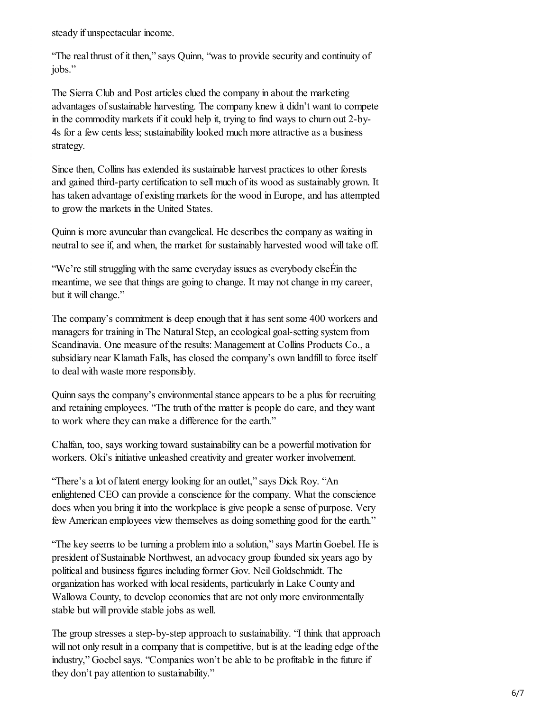steady if unspectacular income.

"The real thrust of it then," says Quinn, "was to provide security and continuity of jobs."

The Sierra Club and Post articles clued the company in about the marketing advantages of sustainable harvesting. The company knew it didn't want to compete in the commodity markets if it could help it, trying to find ways to churn out 2-by-4s for a few cents less; sustainability looked much more attractive as a business strategy.

Since then, Collins has extended its sustainable harvest practices to other forests and gained third-party certification to sell much of its wood as sustainably grown. It has taken advantage of existing markets for the wood in Europe, and has attempted to grow the markets in the United States.

Quinn is more avuncular than evangelical. He describes the company as waiting in neutral to see if, and when, the market for sustainably harvested wood will take off.

"We're still struggling with the same everyday issues as everybody elseÉin the meantime, we see that things are going to change. It may not change in my career, but it will change."

The company's commitment is deep enough that it has sent some 400 workers and managers for training in The Natural Step, an ecological goal-setting system from Scandinavia. One measure of the results: Management at Collins Products Co., a subsidiary near Klamath Falls, has closed the company's own landfill to force itself to deal with waste more responsibly.

Quinn says the company's environmental stance appears to be a plus for recruiting and retaining employees. "The truth of the matter is people do care, and they want to work where they can make a difference for the earth."

Chalfan, too, says working toward sustainability can be a powerful motivation for workers. Oki's initiative unleashed creativity and greater worker involvement.

"There's a lot of latent energy looking for an outlet," says Dick Roy. "An enlightened CEO can provide a conscience for the company. What the conscience does when you bring it into the workplace is give people a sense of purpose. Very few American employees view themselves as doing something good for the earth."

"The key seems to be turning a problem into a solution," says Martin Goebel. He is president of Sustainable Northwest, an advocacy group founded six years ago by political and business figures including former Gov. Neil Goldschmidt. The organization has worked with local residents, particularly in Lake County and Wallowa County, to develop economies that are not only more environmentally stable but will provide stable jobs as well.

The group stresses a step-by-step approach to sustainability. "I think that approach will not only result in a company that is competitive, but is at the leading edge of the industry," Goebel says. "Companies won't be able to be profitable in the future if they don't pay attention to sustainability."